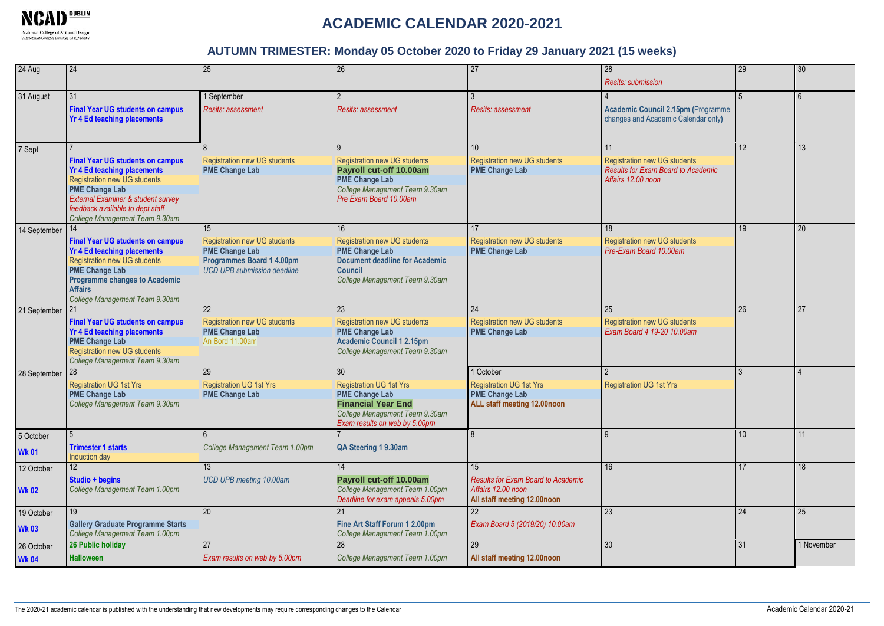

# **ACADEMIC CALENDAR 2020-2021**

#### **AUTUMN TRIMESTER: Monday 05 October 2020 to Friday 29 January 2021 (15 weeks)**

| 24 Aug                     | 24                                                                                                                                                                                                                                                        | 25                                                                                                                                    | 26                                                                                                                                                                  | 27                                                                                                   | 28<br><b>Resits: submission</b>                                                                              | 29              | 30         |
|----------------------------|-----------------------------------------------------------------------------------------------------------------------------------------------------------------------------------------------------------------------------------------------------------|---------------------------------------------------------------------------------------------------------------------------------------|---------------------------------------------------------------------------------------------------------------------------------------------------------------------|------------------------------------------------------------------------------------------------------|--------------------------------------------------------------------------------------------------------------|-----------------|------------|
| 31 August                  | 31<br><b>Final Year UG students on campus</b><br><b>Yr 4 Ed teaching placements</b>                                                                                                                                                                       | 1 September<br><b>Resits: assessment</b>                                                                                              | <b>Resits: assessment</b>                                                                                                                                           | <b>Resits: assessment</b>                                                                            | <b>Academic Council 2.15pm (Programme</b><br>changes and Academic Calendar only)                             | 5               | 6          |
| 7 Sept                     | <b>Final Year UG students on campus</b><br><b>Yr 4 Ed teaching placements</b><br><b>Registration new UG students</b><br><b>PME Change Lab</b><br>External Examiner & student survey<br>feedback available to dept staff<br>College Management Team 9.30am | $\mathbf{8}$<br><b>Registration new UG students</b><br><b>PME Change Lab</b>                                                          | $\mathbf{Q}$<br><b>Registration new UG students</b><br>Payroll cut-off 10.00am<br><b>PME Change Lab</b><br>College Management Team 9.30am<br>Pre Exam Board 10.00am | 10 <sup>1</sup><br><b>Registration new UG students</b><br><b>PME Change Lab</b>                      | 11<br><b>Registration new UG students</b><br><b>Results for Exam Board to Academic</b><br>Affairs 12.00 noon | 12 <sup>2</sup> | 13         |
| 14 September               | 14<br><b>Final Year UG students on campus</b><br><b>Yr 4 Ed teaching placements</b><br><b>Registration new UG students</b><br><b>PME Change Lab</b><br><b>Programme changes to Academic</b><br><b>Affairs</b><br>College Management Team 9.30am           | 15<br><b>Registration new UG students</b><br><b>PME Change Lab</b><br>Programmes Board 1 4.00pm<br><b>UCD UPB submission deadline</b> | 16<br><b>Registration new UG students</b><br><b>PME Change Lab</b><br><b>Document deadline for Academic</b><br><b>Council</b><br>College Management Team 9.30am     | 17<br><b>Registration new UG students</b><br><b>PME Change Lab</b>                                   | 18<br><b>Registration new UG students</b><br>Pre-Exam Board 10.00am                                          | 19              | 20         |
| 21 September               | <b>Final Year UG students on campus</b><br><b>Yr 4 Ed teaching placements</b><br><b>PME Change Lab</b><br><b>Registration new UG students</b><br>College Management Team 9.30am                                                                           | 22<br><b>Registration new UG students</b><br><b>PME Change Lab</b><br>An Bord 11.00am                                                 | 23<br><b>Registration new UG students</b><br><b>PME Change Lab</b><br><b>Academic Council 1 2.15pm</b><br>College Management Team 9.30am                            | 24<br><b>Registration new UG students</b><br><b>PME Change Lab</b>                                   | 25<br><b>Registration new UG students</b><br>Exam Board 4 19-20 10.00am                                      | 26              | 27         |
| 28 September               | 28<br><b>Registration UG 1st Yrs</b><br><b>PME Change Lab</b><br>College Management Team 9.30am                                                                                                                                                           | 29<br><b>Registration UG 1st Yrs</b><br><b>PME Change Lab</b>                                                                         | 30<br><b>Registration UG 1st Yrs</b><br><b>PME Change Lab</b><br><b>Financial Year End</b><br>College Management Team 9.30am<br>Exam results on web by 5.00pm       | 1 October<br><b>Registration UG 1st Yrs</b><br><b>PME Change Lab</b><br>ALL staff meeting 12.00noon  | $\overline{2}$<br><b>Registration UG 1st Yrs</b>                                                             |                 |            |
| 5 October<br><b>Wk 01</b>  | 5<br><b>Trimester 1 starts</b><br><b>Induction day</b>                                                                                                                                                                                                    | College Management Team 1.00pm                                                                                                        | QA Steering 19.30am                                                                                                                                                 |                                                                                                      | $\overline{9}$                                                                                               | 10 <sup>1</sup> | 11         |
| 12 October<br><b>Wk 02</b> | 12 <sup>2</sup><br>Studio + begins<br>College Management Team 1.00pm                                                                                                                                                                                      | 13<br>UCD UPB meeting 10.00am                                                                                                         | 14<br>Payroll cut-off 10.00am<br>College Management Team 1.00pm<br>Deadline for exam appeals 5.00pm                                                                 | 15<br><b>Results for Exam Board to Academic</b><br>Affairs 12.00 noon<br>All staff meeting 12.00noon | 16                                                                                                           | 17              | 18         |
| 19 October<br><b>Wk 03</b> | 19<br><b>Gallery Graduate Programme Starts</b><br>College Management Team 1.00pm                                                                                                                                                                          | $\overline{20}$                                                                                                                       | 21<br>Fine Art Staff Forum 1 2.00pm<br>College Management Team 1.00pm                                                                                               | $\overline{22}$<br>Exam Board 5 (2019/20) 10.00am                                                    | 23                                                                                                           | 24              | 25         |
| 26 October<br><b>Wk 04</b> | 26 Public holiday<br><b>Halloween</b>                                                                                                                                                                                                                     | 27<br>Exam results on web by 5.00pm                                                                                                   | 28<br>College Management Team 1.00pm                                                                                                                                | 29<br>All staff meeting 12.00noon                                                                    | 30                                                                                                           | 31              | 1 November |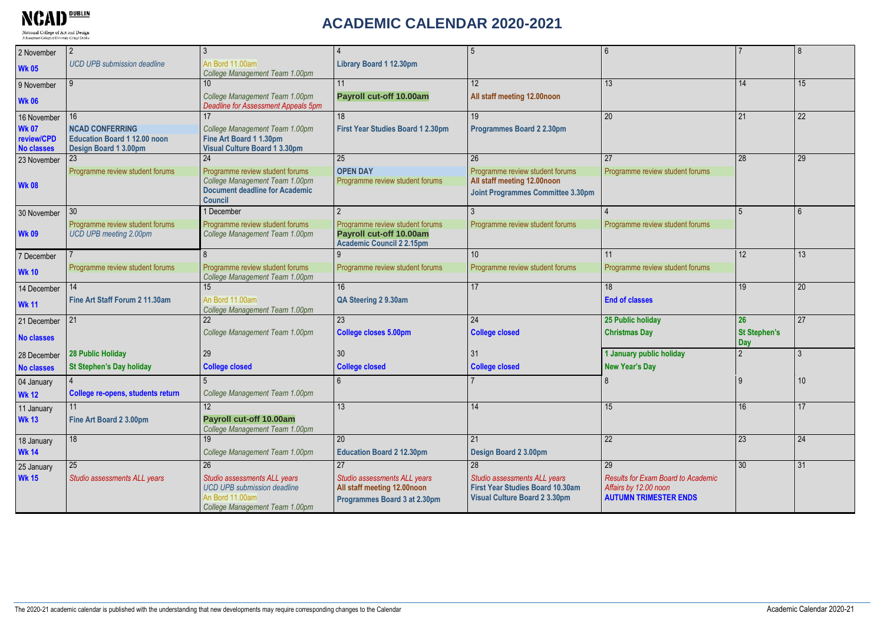**National College of Art and Design<br>A Recognised College of University College Dublin** 

## **ACADEMIC CALENDAR 2020-2021**

| 2 November                                      | $\overline{2}$                                                                         | $\mathbf{3}$                                                                                                            |                                                                                                | 5                                                                                                        | $6 \overline{6}$                                                                                   |                                   | $\mathsf{R}$    |
|-------------------------------------------------|----------------------------------------------------------------------------------------|-------------------------------------------------------------------------------------------------------------------------|------------------------------------------------------------------------------------------------|----------------------------------------------------------------------------------------------------------|----------------------------------------------------------------------------------------------------|-----------------------------------|-----------------|
| <b>Wk 05</b>                                    | <b>UCD UPB submission deadline</b>                                                     | An Bord 11,00am<br>College Management Team 1.00pm                                                                       | Library Board 1 12.30pm                                                                        |                                                                                                          |                                                                                                    |                                   |                 |
| 9 November                                      | 9                                                                                      | 10 <sup>1</sup>                                                                                                         | 11                                                                                             | 12                                                                                                       | 13                                                                                                 | 14                                | 15              |
| <b>Wk 06</b>                                    |                                                                                        | College Management Team 1.00pm<br><b>Deadline for Assessment Appeals 5pm</b>                                            | Payroll cut-off 10.00am                                                                        | All staff meeting 12.00noon                                                                              |                                                                                                    |                                   |                 |
| 16 November                                     | 16                                                                                     |                                                                                                                         | 18 <sup>1</sup>                                                                                | 19                                                                                                       | $\overline{20}$                                                                                    | 21                                | $\overline{22}$ |
| <b>Wk 07</b><br>review/CPD<br><b>No classes</b> | <b>NCAD CONFERRING</b><br><b>Education Board 1 12.00 noon</b><br>Design Board 1 3.00pm | College Management Team 1.00pm<br>Fine Art Board 1 1.30pm<br><b>Visual Culture Board 1 3.30pm</b>                       | First Year Studies Board 1 2.30pm                                                              | Programmes Board 2 2.30pm                                                                                |                                                                                                    |                                   |                 |
| 23 November                                     | 23                                                                                     | 24                                                                                                                      | 25                                                                                             | 26                                                                                                       | 27                                                                                                 | 28                                | 29              |
|                                                 | Programme review student forums                                                        | Programme review student forums                                                                                         | <b>OPEN DAY</b>                                                                                | Programme review student forums                                                                          | Programme review student forums                                                                    |                                   |                 |
| <b>Wk 08</b>                                    |                                                                                        | College Management Team 1.00pm<br><b>Document deadline for Academic</b><br><b>Council</b>                               | Programme review student forums                                                                | All staff meeting 12.00noon<br><b>Joint Programmes Committee 3.30pm</b>                                  |                                                                                                    |                                   |                 |
| 30 November                                     | 30                                                                                     | 1 December                                                                                                              |                                                                                                | 3                                                                                                        |                                                                                                    | $\overline{5}$                    | 6               |
| <b>Wk 09</b>                                    | Programme review student forums<br>UCD UPB meeting 2.00pm                              | Programme review student forums<br>College Management Team 1.00pm                                                       | Programme review student forums<br>Payroll cut-off 10.00am<br><b>Academic Council 2 2.15pm</b> | Programme review student forums                                                                          | Programme review student forums                                                                    |                                   |                 |
| 7 December                                      |                                                                                        |                                                                                                                         |                                                                                                | 10                                                                                                       | 11                                                                                                 | 12                                | 13              |
| <b>Wk 10</b>                                    | Programme review student forums                                                        | Programme review student forums<br>College Management Team 1.00pm                                                       | Programme review student forums                                                                | Programme review student forums                                                                          | Programme review student forums                                                                    |                                   |                 |
| 14 December                                     | 14                                                                                     |                                                                                                                         | 16 <sup>1</sup>                                                                                | 17                                                                                                       | 18                                                                                                 | 19                                | 20              |
| <b>Wk 11</b>                                    | Fine Art Staff Forum 2 11.30am                                                         | An Bord 11.00am<br>College Management Team 1.00pm                                                                       | QA Steering 2 9.30am                                                                           |                                                                                                          | <b>End of classes</b>                                                                              |                                   |                 |
| 21 December                                     | 21                                                                                     | 22                                                                                                                      | 23                                                                                             | 24                                                                                                       | 25 Public holiday                                                                                  | 26                                | 27              |
| <b>No classes</b>                               |                                                                                        | College Management Team 1.00pm                                                                                          | <b>College closes 5.00pm</b>                                                                   | <b>College closed</b>                                                                                    | <b>Christmas Day</b>                                                                               | <b>St Stephen's</b><br><b>Dav</b> |                 |
| 28 December                                     | <b>28 Public Holiday</b>                                                               | 29                                                                                                                      | 30 <sup>°</sup>                                                                                | 31                                                                                                       | 1 January public holiday                                                                           | $\overline{2}$                    | $\mathcal{R}$   |
| <b>No classes</b>                               | <b>St Stephen's Day holiday</b>                                                        | <b>College closed</b>                                                                                                   | <b>College closed</b>                                                                          | <b>College closed</b>                                                                                    | <b>New Year's Day</b>                                                                              |                                   |                 |
| 04 January                                      |                                                                                        |                                                                                                                         |                                                                                                |                                                                                                          |                                                                                                    | $\overline{q}$                    | 10              |
| <b>Wk 12</b>                                    | College re-opens, students return                                                      | College Management Team 1.00pm                                                                                          |                                                                                                |                                                                                                          |                                                                                                    |                                   |                 |
| 11 January                                      |                                                                                        | 12                                                                                                                      | 13 <sup>13</sup>                                                                               | 14                                                                                                       | 15                                                                                                 | 16                                | 17              |
| <b>Wk 13</b>                                    | Fine Art Board 2 3.00pm                                                                | Payroll cut-off 10.00am<br>College Management Team 1.00pm                                                               |                                                                                                |                                                                                                          |                                                                                                    |                                   |                 |
| 18 January                                      | 18                                                                                     |                                                                                                                         | 20                                                                                             | 21                                                                                                       | 22                                                                                                 | 23                                | 24              |
| <b>Wk 14</b>                                    |                                                                                        | College Management Team 1.00pm                                                                                          | <b>Education Board 2 12.30pm</b>                                                               | Design Board 2 3.00pm                                                                                    |                                                                                                    |                                   |                 |
| 25 January                                      | 25                                                                                     | 26                                                                                                                      | 27                                                                                             | 28                                                                                                       | 29                                                                                                 | 30 <sup>°</sup>                   | 31              |
| <b>Wk 15</b>                                    | Studio assessments ALL years                                                           | Studio assessments ALL years<br><b>UCD UPB submission deadline</b><br>An Bord 11.00am<br>College Management Team 1.00pm | Studio assessments ALL years<br>All staff meeting 12.00noon<br>Programmes Board 3 at 2.30pm    | Studio assessments ALL years<br>First Year Studies Board 10.30am<br><b>Visual Culture Board 2 3.30pm</b> | <b>Results for Exam Board to Academic</b><br>Affairs by 12.00 noon<br><b>AUTUMN TRIMESTER ENDS</b> |                                   |                 |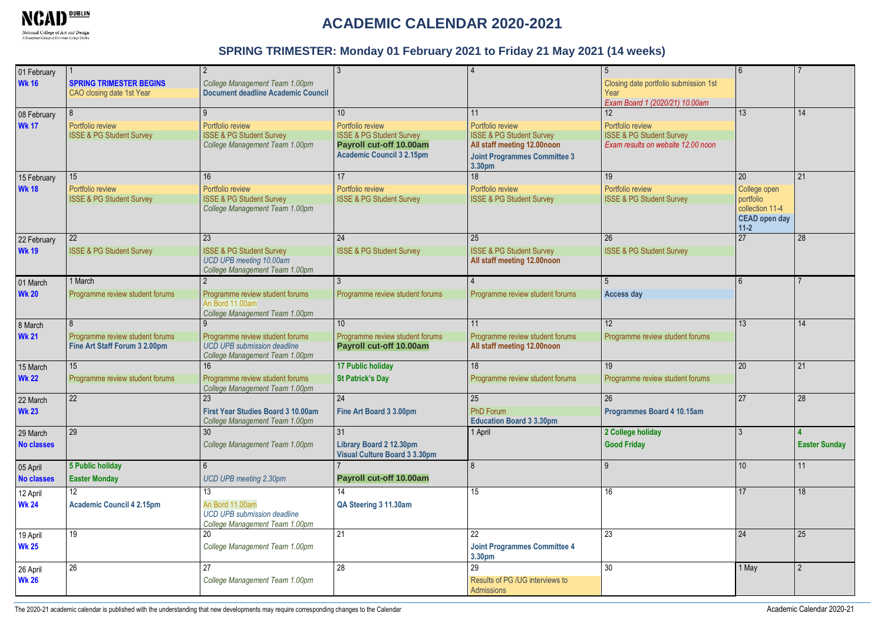

# **ACADEMIC CALENDAR 2020-2021**

#### **SPRING TRIMESTER: Monday 01 February 2021 to Friday 21 May 2021 (14 weeks)**

| 01 February<br><b>Wk 16</b>   | <b>SPRING TRIMESTER BEGINS</b><br>CAO closing date 1st Year           | $\mathfrak{D}$<br>College Management Team 1.00pm<br><b>Document deadline Academic Council</b>                 |                                                                                                                                           |                                                                                                                                               | 5<br>Closing date portfolio submission 1st<br>Year<br>Exam Board 1 (2020/21) 10.00am               | 6                                                                                    |                      |
|-------------------------------|-----------------------------------------------------------------------|---------------------------------------------------------------------------------------------------------------|-------------------------------------------------------------------------------------------------------------------------------------------|-----------------------------------------------------------------------------------------------------------------------------------------------|----------------------------------------------------------------------------------------------------|--------------------------------------------------------------------------------------|----------------------|
| 08 February<br><b>Wk 17</b>   | 8<br>Portfolio review<br><b>ISSE &amp; PG Student Survey</b>          | 9<br>Portfolio review<br><b>ISSE &amp; PG Student Survey</b><br>College Management Team 1.00pm                | 10 <sup>1</sup><br>Portfolio review<br><b>ISSE &amp; PG Student Survey</b><br>Payroll cut-off 10.00am<br><b>Academic Council 3 2.15pm</b> | 11<br>Portfolio review<br><b>ISSE &amp; PG Student Survey</b><br>All staff meeting 12.00noon<br><b>Joint Programmes Committee 3</b><br>3.30pm | 12<br>Portfolio review<br><b>SSE &amp; PG Student Survey</b><br>Exam results on website 12.00 noon | 13                                                                                   | 14                   |
| 15 February<br><b>Wk 18</b>   | 15<br>Portfolio review<br><b>ISSE &amp; PG Student Survey</b>         | 16<br>Portfolio review<br><b>ISSE &amp; PG Student Survey</b><br>College Management Team 1.00pm               | 17<br>Portfolio review<br><b>ISSE &amp; PG Student Survey</b>                                                                             | 18<br>Portfolio review<br><b>ISSE &amp; PG Student Survey</b>                                                                                 | 19<br>Portfolio review<br><b>ISSE &amp; PG Student Survey</b>                                      | 20<br>College open<br>portfolio<br>collection 11-4<br><b>CEAD open day</b><br>$11-2$ | 21                   |
| 22 February<br><b>Wk 19</b>   | 22<br><b>ISSE &amp; PG Student Survey</b>                             | 23<br><b>ISSE &amp; PG Student Survey</b><br><b>UCD UPB meeting 10.00am</b><br>College Management Team 1.00pm | 24<br><b>ISSE &amp; PG Student Survey</b>                                                                                                 | 25<br><b>ISSE &amp; PG Student Survey</b><br>All staff meeting 12.00noon                                                                      | 26<br><b>ISSE &amp; PG Student Survey</b>                                                          | 27                                                                                   | 28                   |
| 01 March<br><b>Wk 20</b>      | 1 March<br>Programme review student forums                            | $\mathfrak{p}$<br>Programme review student forums<br>An Bord 11.00am<br>College Management Team 1.00pm        | Programme review student forums                                                                                                           | Programme review student forums                                                                                                               | 5<br>Access day                                                                                    | $6\overline{6}$                                                                      |                      |
| 8 March<br><b>Wk 21</b>       | 8<br>Programme review student forums<br>Fine Art Staff Forum 3 2.00pm | Programme review student forums<br><b>UCD UPB submission deadline</b><br>College Management Team 1.00pm       | 10 <sup>1</sup><br>Programme review student forums<br>Payroll cut-off 10.00am                                                             | 11<br>Programme review student forums<br>All staff meeting 12.00noon                                                                          | 12 <sup>2</sup><br>Programme review student forums                                                 | 13                                                                                   | 14                   |
| 15 March<br><b>Wk 22</b>      | 15<br>Programme review student forums                                 | 16<br>Programme review student forums<br>College Management Team 1.00pm                                       | <b>17 Public holiday</b><br><b>St Patrick's Day</b>                                                                                       | 18<br>Programme review student forums                                                                                                         | 19<br>Programme review student forums                                                              | 20                                                                                   | 21                   |
| 22 March<br><b>Wk 23</b>      | 22                                                                    | 23<br><b>First Year Studies Board 3 10.00am</b><br>College Management Team 1.00pm                             | 24<br>Fine Art Board 3 3.00pm                                                                                                             | 25<br><b>PhD Forum</b><br><b>Education Board 3 3.30pm</b>                                                                                     | 26<br>Programmes Board 4 10.15am                                                                   | 27                                                                                   | 28                   |
| 29 March<br><b>No classes</b> | 29                                                                    | 30<br>College Management Team 1.00pm                                                                          | 31<br>Library Board 2 12.30pm<br><b>Visual Culture Board 3 3.30pm</b>                                                                     | 1 April                                                                                                                                       | 2 College holiday<br><b>Good Friday</b>                                                            | 3                                                                                    | <b>Easter Sunday</b> |
| 05 April<br><b>No classes</b> | 5 Public holiday<br><b>Easter Monday</b>                              | $6\overline{6}$<br><b>UCD UPB meeting 2.30pm</b>                                                              | Payroll cut-off 10.00am                                                                                                                   | 8                                                                                                                                             | q                                                                                                  | 10                                                                                   | 11                   |
| 12 April<br><b>Wk 24</b>      | 12<br><b>Academic Council 4 2.15pm</b>                                | 13<br>An Bord 11.00am<br><b>UCD UPB submission deadline</b><br>College Management Team 1.00pm                 | 14<br>QA Steering 3 11.30am                                                                                                               | 15                                                                                                                                            | 16                                                                                                 | 17                                                                                   | 18                   |
| 19 April<br><b>Wk 25</b>      | 19                                                                    | 20<br>College Management Team 1.00pm                                                                          | 21                                                                                                                                        | 22<br><b>Joint Programmes Committee 4</b><br>3.30pm                                                                                           | 23                                                                                                 | 24                                                                                   | 25                   |
| 26 April<br><b>Wk 26</b>      | 26                                                                    | 27<br>College Management Team 1.00pm                                                                          | 28                                                                                                                                        | 29<br>Results of PG /UG interviews to<br>Admissions                                                                                           | 30                                                                                                 | 1 May                                                                                | $\mathfrak{p}$       |